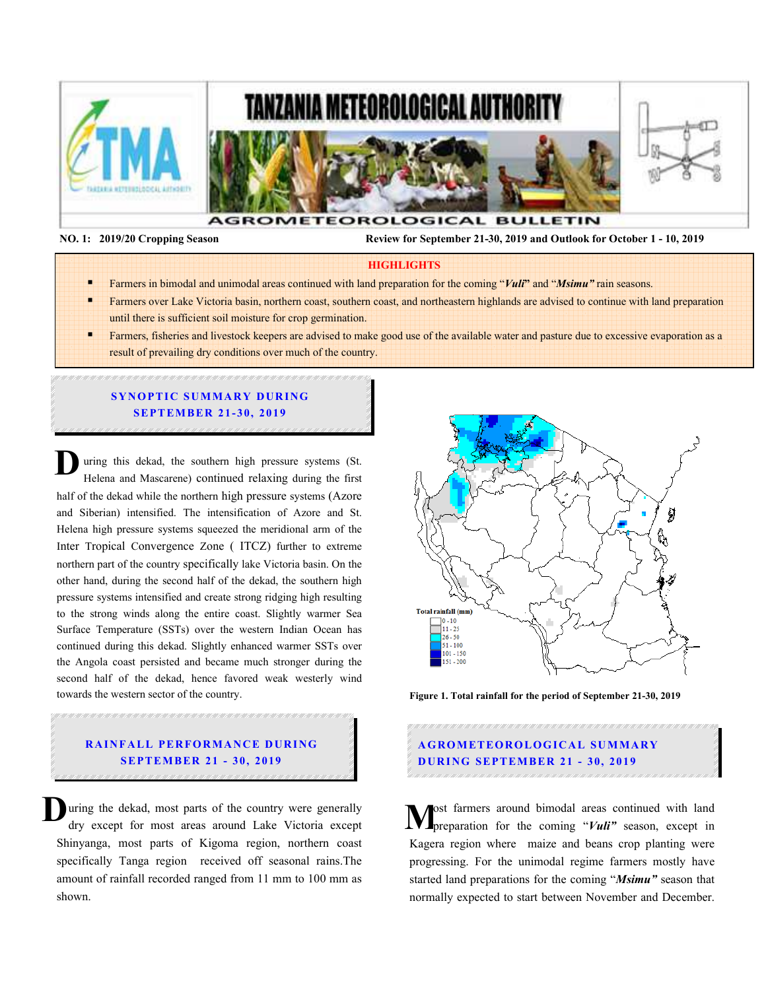

 **NO. 1: 2019/20 Cropping Season Review for September 21-30, 2019 and Outlook for October 1 - 10, 2019** 

#### **HIGHLIGHTS**

- Farmers in bimodal and unimodal areas continued with land preparation for the coming "*Vuli***"** and "*Msimu"* rain seasons.
- Farmers over Lake Victoria basin, northern coast, southern coast, and northeastern highlands are advised to continue with land preparation until there is sufficient soil moisture for crop germination.
- Farmers, fisheries and livestock keepers are advised to make good use of the available water and pasture due to excessive evaporation as a result of prevailing dry conditions over much of the country.

## **SYNOPTIC SUMMARY DURING SEPTEMBER 21-30, 2019**

uring this dekad, the southern high pressure systems (St. Helena and Mascarene) continued relaxing during the first half of the dekad while the northern high pressure systems (Azore and Siberian) intensified. The intensification of Azore and St. Helena high pressure systems squeezed the meridional arm of the Inter Tropical Convergence Zone ( ITCZ) further to extreme northern part of the country specifically lake Victoria basin. On the other hand, during the second half of the dekad, the southern high pressure systems intensified and create strong ridging high resulting to the strong winds along the entire coast. Slightly warmer Sea Surface Temperature (SSTs) over the western Indian Ocean has continued during this dekad. Slightly enhanced warmer SSTs over the Angola coast persisted and became much stronger during the second half of the dekad, hence favored weak westerly wind towards the western sector of the country. **D**

# **RAINFALL PERFORMANCE DURING SEPT EM BER 21 - 30, 2019**

uring the dekad, most parts of the country were generally **D** uring the dekad, most parts of the country were generally dry except for most areas around Lake Victoria except  $\mathbf{M}^{\circ}_{\text{p}}$ Shinyanga, most parts of Kigoma region, northern coast specifically Tanga region received off seasonal rains.The amount of rainfall recorded ranged from 11 mm to 100 mm as shown.



**Figure 1. Total rainfall for the period of September 21-30, 2019** 

# **A G RO M ETEO R O LOG ICA L SU M MA RY D UR ING SEPTEM BER 21 - 30, 2019**

ost farmers around bimodal areas continued with land preparation for the coming "*Vuli"* season, except in Kagera region where maize and beans crop planting were progressing. For the unimodal regime farmers mostly have started land preparations for the coming "*Msimu"* season that normally expected to start between November and December.